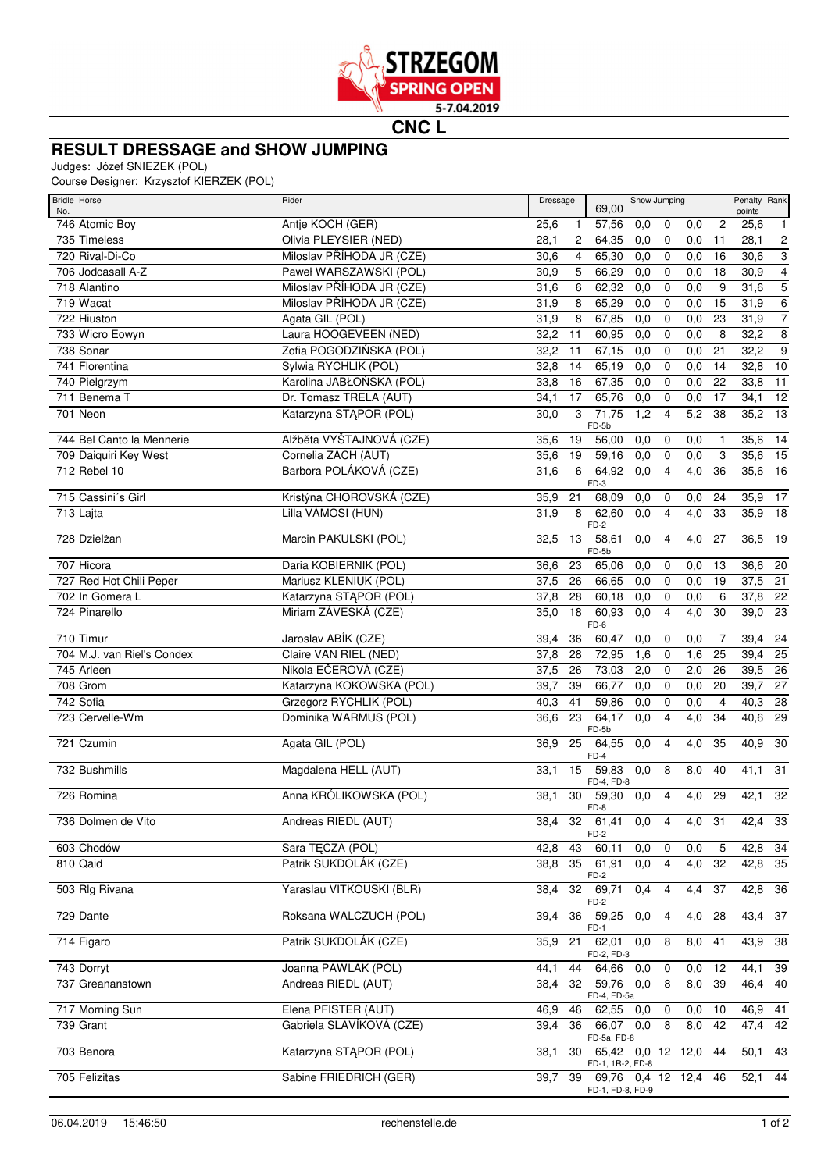

**CNC L**

## **RESULT DRESSAGE and SHOW JUMPING**

Judges: Józef SNIEZEK (POL)

Course Designer: Krzysztof KIERZEK (POL)

| Bridle Horse<br>No.        | Rider                         | Dressage |                | Show Jumping<br>69,00                    |                  |                |                  |                         | Penalty Rank<br>points |                           |
|----------------------------|-------------------------------|----------|----------------|------------------------------------------|------------------|----------------|------------------|-------------------------|------------------------|---------------------------|
| 746 Atomic Boy             | Antje KOCH (GER)              | 25,6     | 1              | 57,56                                    | 0,0              | 0              | 0,0              | $\overline{c}$          | 25,6                   | $\mathbf{1}$              |
| 735 Timeless               | Olivia PLEYSIER (NED)         | 28,1     | $\overline{c}$ | 64,35                                    | 0,0              | $\mathbf 0$    | 0,0              | 11                      | 28,1                   | $\overline{2}$            |
| 720 Rival-Di-Co            | Miloslav PŘÍHODA JR (CZE)     | 30,6     | $\overline{4}$ | 65,30                                    | 0,0              | $\mathbf 0$    | 0,0              | 16                      | 30,6                   | $\ensuremath{\mathsf{3}}$ |
| 706 Jodcasall A-Z          | Paweł WARSZAWSKI (POL)        | 30,9     | 5              | 66,29                                    | 0,0              | $\mathbf 0$    | 0,0              | 18                      | 30,9                   | $\overline{4}$            |
| 718 Alantino               | Miloslav PŘÍHODA JR (CZE)     | 31,6     | 6              | 62,32                                    | 0,0              | $\mathbf 0$    | 0,0              | 9                       | 31,6                   | $\overline{5}$            |
| 719 Wacat                  | Miloslav PŘÍHODA JR (CZE)     | 31,9     | 8              | 65,29                                    | 0,0              | $\mathbf 0$    | 0,0              | 15                      | 31,9                   | $\overline{6}$            |
| 722 Hiuston                | Agata GIL (POL)               | 31,9     | 8              | 67,85                                    | 0,0              | $\mathbf 0$    | 0,0              | 23                      | 31,9                   | $\overline{7}$            |
| 733 Wicro Eowyn            | Laura HOOGEVEEN (NED)         | 32,2     | 11             | 60.95                                    | 0,0              | $\mathbf 0$    | 0,0              | 8                       | 32,2                   | $\overline{8}$            |
| 738 Sonar                  | Zofia POGODZIŃSKA (POL)       | 32,2     | 11             | 67,15                                    | 0,0              | $\mathbf 0$    | 0,0              | 21                      | 32,2                   | $\overline{9}$            |
| 741 Florentina             | Sylwia RYCHLIK (POL)          | 32,8     | 14             | 65,19                                    | 0,0              | 0              | 0,0              | 14                      | 32,8                   | $\overline{10}$           |
| 740 Pielgrzym              | Karolina JABŁOŃSKA (POL)      | 33,8     | 16             | 67,35                                    | 0,0              | $\mathbf 0$    | 0,0              | 22                      | 33,8                   | 11                        |
| 711 Benema T               | Dr. Tomasz TRELA (AUT)        | 34,1     | 17             | 65,76                                    | 0,0              | 0              | 0,0              | 17                      | 34,1                   | 12                        |
| 701 Neon                   | Katarzyna STĄPOR (POL)        | 30,0     | 3              | 71,75<br>FD-5b                           | 1,2              | $\overline{4}$ | 5,2              | 38                      | 35,2                   | $\overline{13}$           |
| 744 Bel Canto la Mennerie  | Alžběta VYŠTAJNOVÁ (CZE)      | 35,6     | 19             | 56,00                                    | 0,0              | 0              | 0,0              | $\mathbf{1}$            | 35,6                   | 14                        |
| 709 Daiquiri Key West      | Cornelia ZACH (AUT)           | 35,6     | 19             | 59,16                                    | 0,0              | $\mathbf 0$    | 0,0              | 3                       | 35,6                   | 15                        |
| 712 Rebel 10               | Barbora POLÁKOVÁ (CZE)        | 31,6     | 6              | 64,92<br>FD-3                            | 0,0              | $\overline{4}$ | 4,0              | 36                      | 35,6                   | 16                        |
| 715 Cassini's Girl         | Kristýna CHOROVSKÁ (CZE)      | 35,9     | 21             | 68,09                                    | 0,0              | 0              | 0,0              | 24                      | 35,9                   | 17                        |
| 713 Lajta                  | Lilla VÁMOSI (HUN)            | 31,9     | 8              | 62,60                                    | 0,0              | $\overline{4}$ | 4,0              | 33                      | 35,9                   | 18                        |
| 728 Dzielżan               | Marcin PAKULSKI (POL)         | 32,5     | 13             | $FD-2$<br>58,61                          | 0,0              | 4              | 4,0              | 27                      | 36,5                   | 19                        |
|                            |                               |          |                | FD-5b                                    |                  |                |                  |                         |                        |                           |
| 707 Hicora                 | Daria KOBIERNIK (POL)         | 36,6     | 23             | 65,06                                    | 0,0              | 0              | 0,0              | 13                      | 36,6                   | -20                       |
| 727 Red Hot Chili Peper    | Mariusz KLENIUK (POL)         | 37,5     | 26             | 66,65                                    | 0,0              | $\mathbf 0$    | 0,0              | 19                      | 37,5                   | 21                        |
| 702 In Gomera L            | Katarzyna STĄPOR (POL)        | 37,8     | 28             | 60,18                                    | 0,0              | $\mathbf 0$    | 0,0              | 6                       | 37,8                   | 22                        |
| 724 Pinarello              | Miriam ZÁVESKÁ (CZE)          | 35,0     | 18             | 60,93<br>FD-6                            | 0,0              | $\overline{4}$ | 4,0              | 30                      | 39,0                   | $\overline{23}$           |
| 710 Timur                  | Jaroslav ABÍK (CZE)           | 39,4     | 36             | 60,47                                    | 0,0              | 0              | 0,0              | 7                       | 39,4                   | - 24                      |
| 704 M.J. van Riel's Condex | Claire VAN RIEL (NED)         | 37,8     | 28             | 72,95                                    | 1,6              | $\mathbf 0$    | 1,6              | $\overline{25}$         | $39,4$ 25              |                           |
| 745 Arleen                 | Nikola EČEROVÁ (CZE)          | 37,5     | 26             | 73,03                                    | 2,0              | $\mathbf 0$    | 2,0              | $\overline{26}$         | 39,5                   | $\overline{26}$           |
| 708 Grom                   | Katarzyna KOKOWSKA (POL)      | 39,7     | 39             | 66,77                                    | $\overline{0,0}$ | $\mathbf 0$    | 0,0              | 20                      | $39,7$ 27              |                           |
| 742 Sofia                  | <b>Grzegorz RYCHLIK (POL)</b> | 40,3     | 41             | 59,86                                    | 0,0              | $\mathbf 0$    | 0,0              | $\overline{\mathbf{4}}$ | 40,3                   | $\overline{28}$           |
| 723 Cervelle-Wm            | Dominika WARMUS (POL)         | 36,6     | 23             | 64,17<br>FD-5b                           | 0,0              | $\overline{4}$ | $\overline{4,0}$ | 34                      | 40,6                   | 29                        |
| 721 Czumin                 | Agata GIL (POL)               | 36,9     | 25             | 64,55<br>$FD-4$                          | 0,0              | 4              | 4,0              | 35                      | 40,9                   | 30                        |
| 732 Bushmills              | Magdalena HELL (AUT)          | 33,1     | 15             | 59,83                                    | 0,0              | 8              | 8,0              | 40                      | $41,1$ 31              |                           |
| 726 Romina                 | Anna KRÓLIKOWSKA (POL)        | 38,1     | 30             | FD-4, FD-8<br>59,30                      | 0,0              | 4              | 4,0              | 29                      | 42,1                   | 32                        |
|                            |                               |          |                | FD-8                                     |                  |                |                  |                         |                        |                           |
| 736 Dolmen de Vito         | Andreas RIEDL (AUT)           | 38,4     |                | 32 61,41 0,0<br>FD-2                     |                  | $\overline{4}$ | $\overline{4,0}$ | $\overline{31}$         | 42,4                   | 33                        |
| 603 Chodów                 | Sara TECZA (POL)              | 42,8     | 43             | 60,11                                    | 0,0              | 0              | 0,0              | 5                       | 42,8                   | 34                        |
| 810 Qaid                   | Patrik SUKDOLÁK (CZE)         | 38,8     | 35             | 61,91<br>FD-2                            | 0,0              | 4              | 4,0              | 32                      | 42,8                   | 35                        |
| 503 Rlg Rivana             | Yaraslau VITKOUSKI (BLR)      | 38,4     | 32             | 69,71                                    | 0,4              | 4              | 4,4              | 37                      | 42,8                   | 36                        |
| 729 Dante                  | Roksana WALCZUCH (POL)        | 39,4     | 36             | FD-2<br>59,25                            | 0,0              | 4              | 4,0              | 28                      | 43,4 37                |                           |
| 714 Figaro                 | Patrik SUKDOLÁK (CZE)         | 35,9     | 21             | $FD-1$<br>62,01                          | 0,0              | 8              | 8,0 41           |                         | 43,9 38                |                           |
|                            |                               |          |                | FD-2, FD-3                               |                  |                |                  |                         |                        |                           |
| 743 Dorryt                 | Joanna PAWLAK (POL)           | 44,1     | 44             | 64,66                                    | 0,0              | $\mathbf 0$    | 0,0              | 12                      | 44,1                   | 39                        |
| 737 Greananstown           | Andreas RIEDL (AUT)           | 38,4     | 32             | 59,76<br>FD-4, FD-5a                     | 0,0              | 8              | 8,0              | 39                      | 46,4                   | 40                        |
| 717 Morning Sun            | Elena PFISTER (AUT)           | 46,9     | 46             | $\overline{62,55}$ 0,0                   |                  | $\pmb{0}$      | 0,0              | 10                      | 46,9                   | 41                        |
| 739 Grant                  | Gabriela SLAVÍKOVÁ (CZE)      | 39,4     | 36             | 66,07 0,0 8<br>FD-5a, FD-8               |                  |                | 8,0              | 42                      | $47,4$ $42$            |                           |
| 703 Benora                 | Katarzyna STĄPOR (POL)        | 38,1     | 30             | 65,42 0,0 12 12,0                        |                  |                |                  | 44                      | 50,1                   | 43                        |
| 705 Felizitas              | Sabine FRIEDRICH (GER)        | 39,7     | 39             | FD-1, 1R-2, FD-8<br>69,76 0,4 12 12,4 46 |                  |                |                  |                         | $52,1$ 44              |                           |
|                            |                               |          |                | FD-1, FD-8, FD-9                         |                  |                |                  |                         |                        |                           |